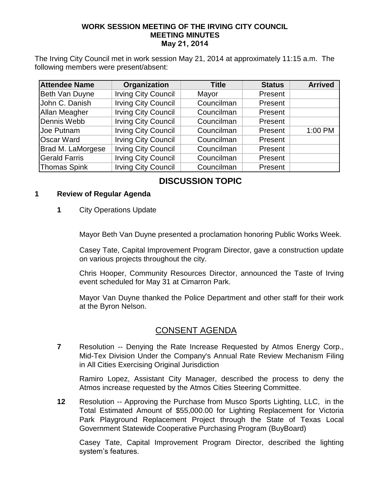#### **WORK SESSION MEETING OF THE IRVING CITY COUNCIL MEETING MINUTES May 21, 2014**

The Irving City Council met in work session May 21, 2014 at approximately 11:15 a.m. The following members were present/absent:

| <b>Attendee Name</b> | Organization               | <b>Title</b> | <b>Status</b> | <b>Arrived</b> |
|----------------------|----------------------------|--------------|---------------|----------------|
| Beth Van Duyne       | <b>Irving City Council</b> | Mayor        | Present       |                |
| John C. Danish       | <b>Irving City Council</b> | Councilman   | Present       |                |
| <b>Allan Meagher</b> | <b>Irving City Council</b> | Councilman   | Present       |                |
| Dennis Webb          | <b>Irving City Council</b> | Councilman   | Present       |                |
| Joe Putnam           | <b>Irving City Council</b> | Councilman   | Present       | 1:00 PM        |
| <b>Oscar Ward</b>    | <b>Irving City Council</b> | Councilman   | Present       |                |
| Brad M. LaMorgese    | <b>Irving City Council</b> | Councilman   | Present       |                |
| <b>Gerald Farris</b> | <b>Irving City Council</b> | Councilman   | Present       |                |
| Thomas Spink         | <b>Irving City Council</b> | Councilman   | Present       |                |

## **DISCUSSION TOPIC**

#### **1 Review of Regular Agenda**

**1** City Operations Update

Mayor Beth Van Duyne presented a proclamation honoring Public Works Week.

Casey Tate, Capital Improvement Program Director, gave a construction update on various projects throughout the city.

Chris Hooper, Community Resources Director, announced the Taste of Irving event scheduled for May 31 at Cimarron Park.

Mayor Van Duyne thanked the Police Department and other staff for their work at the Byron Nelson.

### CONSENT AGENDA

**7** Resolution -- Denying the Rate Increase Requested by Atmos Energy Corp., Mid-Tex Division Under the Company's Annual Rate Review Mechanism Filing in All Cities Exercising Original Jurisdiction

Ramiro Lopez, Assistant City Manager, described the process to deny the Atmos increase requested by the Atmos Cities Steering Committee.

**12** Resolution -- Approving the Purchase from Musco Sports Lighting, LLC, in the Total Estimated Amount of \$55,000.00 for Lighting Replacement for Victoria Park Playground Replacement Project through the State of Texas Local Government Statewide Cooperative Purchasing Program (BuyBoard)

Casey Tate, Capital Improvement Program Director, described the lighting system's features.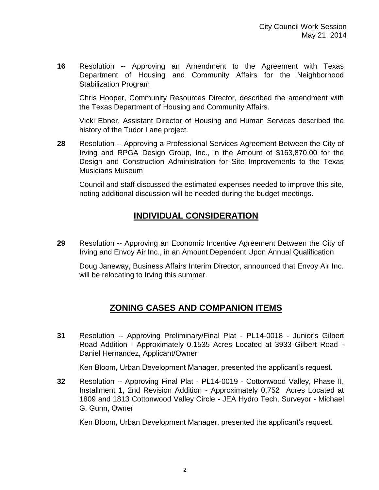**16** Resolution -- Approving an Amendment to the Agreement with Texas Department of Housing and Community Affairs for the Neighborhood Stabilization Program

Chris Hooper, Community Resources Director, described the amendment with the Texas Department of Housing and Community Affairs.

Vicki Ebner, Assistant Director of Housing and Human Services described the history of the Tudor Lane project.

**28** Resolution -- Approving a Professional Services Agreement Between the City of Irving and RPGA Design Group, Inc., in the Amount of \$163,870.00 for the Design and Construction Administration for Site Improvements to the Texas Musicians Museum

Council and staff discussed the estimated expenses needed to improve this site, noting additional discussion will be needed during the budget meetings.

## **INDIVIDUAL CONSIDERATION**

**29** Resolution -- Approving an Economic Incentive Agreement Between the City of Irving and Envoy Air Inc., in an Amount Dependent Upon Annual Qualification

Doug Janeway, Business Affairs Interim Director, announced that Envoy Air Inc. will be relocating to Irving this summer.

# **ZONING CASES AND COMPANION ITEMS**

**31** Resolution -- Approving Preliminary/Final Plat - PL14-0018 - Junior's Gilbert Road Addition - Approximately 0.1535 Acres Located at 3933 Gilbert Road - Daniel Hernandez, Applicant/Owner

Ken Bloom, Urban Development Manager, presented the applicant's request.

**32** Resolution -- Approving Final Plat - PL14-0019 - Cottonwood Valley, Phase II, Installment 1, 2nd Revision Addition - Approximately 0.752 Acres Located at 1809 and 1813 Cottonwood Valley Circle - JEA Hydro Tech, Surveyor - Michael G. Gunn, Owner

Ken Bloom, Urban Development Manager, presented the applicant's request.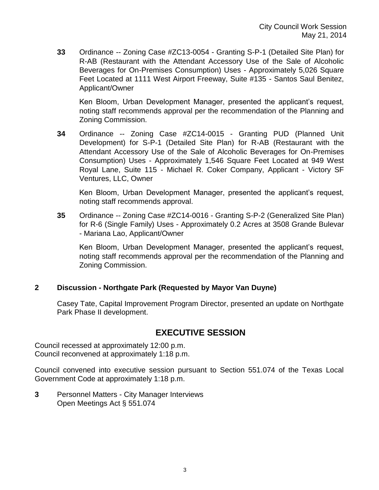**33** Ordinance -- Zoning Case #ZC13-0054 - Granting S-P-1 (Detailed Site Plan) for R-AB (Restaurant with the Attendant Accessory Use of the Sale of Alcoholic Beverages for On-Premises Consumption) Uses - Approximately 5,026 Square Feet Located at 1111 West Airport Freeway, Suite #135 - Santos Saul Benitez, Applicant/Owner

Ken Bloom, Urban Development Manager, presented the applicant's request, noting staff recommends approval per the recommendation of the Planning and Zoning Commission.

**34** Ordinance -- Zoning Case #ZC14-0015 - Granting PUD (Planned Unit Development) for S-P-1 (Detailed Site Plan) for R-AB (Restaurant with the Attendant Accessory Use of the Sale of Alcoholic Beverages for On-Premises Consumption) Uses - Approximately 1,546 Square Feet Located at 949 West Royal Lane, Suite 115 - Michael R. Coker Company, Applicant - Victory SF Ventures, LLC, Owner

Ken Bloom, Urban Development Manager, presented the applicant's request, noting staff recommends approval.

**35** Ordinance -- Zoning Case #ZC14-0016 - Granting S-P-2 (Generalized Site Plan) for R-6 (Single Family) Uses - Approximately 0.2 Acres at 3508 Grande Bulevar - Mariana Lao, Applicant/Owner

Ken Bloom, Urban Development Manager, presented the applicant's request, noting staff recommends approval per the recommendation of the Planning and Zoning Commission.

#### **2 Discussion - Northgate Park (Requested by Mayor Van Duyne)**

Casey Tate, Capital Improvement Program Director, presented an update on Northgate Park Phase II development.

### **EXECUTIVE SESSION**

Council recessed at approximately 12:00 p.m. Council reconvened at approximately 1:18 p.m.

Council convened into executive session pursuant to Section 551.074 of the Texas Local Government Code at approximately 1:18 p.m.

**3** Personnel Matters - City Manager Interviews Open Meetings Act § 551.074